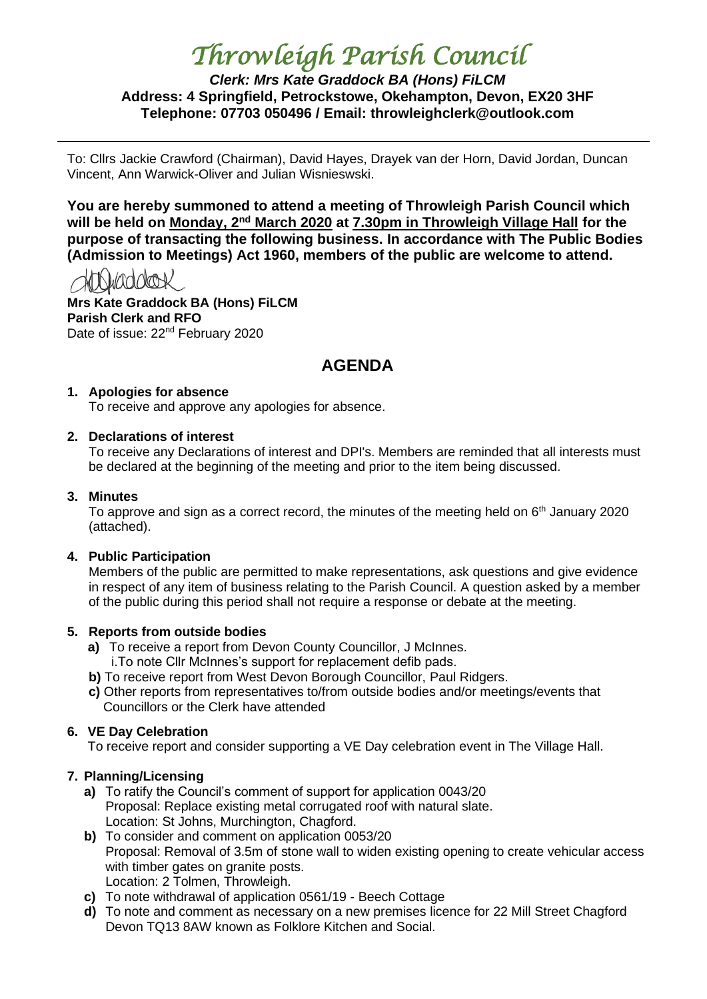# *Throwleigh Parish Council*

*Clerk: Mrs Kate Graddock BA (Hons) FiLCM* **Address: 4 Springfield, Petrockstowe, Okehampton, Devon, EX20 3HF Telephone: 07703 050496 / Email: throwleighclerk@outlook.com**

To: Cllrs Jackie Crawford (Chairman), David Hayes, Drayek van der Horn, David Jordan, Duncan Vincent, Ann Warwick-Oliver and Julian Wisnieswski.

**You are hereby summoned to attend a meeting of Throwleigh Parish Council which will be held on Monday, 2nd March 2020 at 7.30pm in Throwleigh Village Hall for the purpose of transacting the following business. In accordance with The Public Bodies (Admission to Meetings) Act 1960, members of the public are welcome to attend.**

HTNiaddook

**Mrs Kate Graddock BA (Hons) FiLCM Parish Clerk and RFO** Date of issue: 22<sup>nd</sup> February 2020

## **AGENDA**

## **1. Apologies for absence**

To receive and approve any apologies for absence.

## **2. Declarations of interest**

To receive any Declarations of interest and DPI's. Members are reminded that all interests must be declared at the beginning of the meeting and prior to the item being discussed.

#### **3. Minutes**

To approve and sign as a correct record, the minutes of the meeting held on  $6<sup>th</sup>$  January 2020 (attached).

## **4. Public Participation**

Members of the public are permitted to make representations, ask questions and give evidence in respect of any item of business relating to the Parish Council. A question asked by a member of the public during this period shall not require a response or debate at the meeting.

## **5. Reports from outside bodies**

- **a)** To receive a report from Devon County Councillor, J McInnes. i.To note Cllr McInnes's support for replacement defib pads.
- **b)** To receive report from West Devon Borough Councillor, Paul Ridgers.
- **c)** Other reports from representatives to/from outside bodies and/or meetings/events that Councillors or the Clerk have attended

## **6. VE Day Celebration**

To receive report and consider supporting a VE Day celebration event in The Village Hall.

## **7. Planning/Licensing**

- **a)** To ratify the Council's comment of support for application 0043/20 Proposal: Replace existing metal corrugated roof with natural slate. Location: St Johns, Murchington, Chagford.
- **b)** To consider and comment on application 0053/20 Proposal: Removal of 3.5m of stone wall to widen existing opening to create vehicular access with timber gates on granite posts. Location: 2 Tolmen, Throwleigh.
- **c)** To note withdrawal of application 0561/19 Beech Cottage
- **d)** To note and comment as necessary on a new premises licence for 22 Mill Street Chagford Devon TQ13 8AW known as Folklore Kitchen and Social.